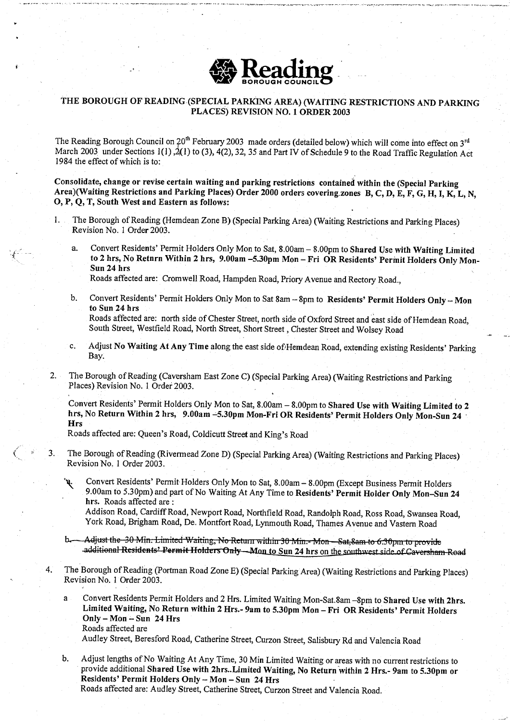

## THE BOROUGH OF READING (SPECIAL PARKING AREA) (WAITING RESTRICTIONS AND PARKING PLACES) REVISION NO. 1 ORDER 2003

The Reading Borough Council on 20<sup>th</sup> February 2003 made orders (detailed below) which will come into effect on 3<sup>rd</sup> March 2003 under Sections 1(1),  $\frac{1}{2}$ (1) to (3), 4(2), 32, 35 and Part IV of Schedule 9 to the Road Traffic Regulation Act 1984 the effect of which is to:

**Consolidate**, **change or revise certain waiting and parking restrictions contained within the (Special Parking** Area)(**Waiting Restrictions and Parking Places) Order 2000 orders covering .zones** B, C, D, E, F, G, H, 1, K, L, N, 0, P, Q, T, South West **and Eastern as follows:**

- 1. The Borough of Reading (Hemdean Zone B) (Special Parking Area) (Waiting Restrictions and Parking Places) Revision No. 1 Order 2003.
	- a. Convert Residents' Permit Holders Only Mon to Sat, 8.00am 8.00pm to Shared Use with Waiting Limited to 2 hrs, No **Return Within 2 hrs, 9.00am** -**<sup>5</sup> .30pm** Mon - Fri OR **Residents** ' **Permit Holders** Only Mon-**Sun 24 hrs**
		- Roads affected are: Cromwell Road, Hampden Road, Priory Avenue and Rectory Road.,
	- b. Convert Residents' Permit Holders Only Mon to Sat 8am 8pm to **Residents**' **Permit Holders** Only Mon **to Sun 24 hrs** Roads affected are: north side of Chester Street, north side of Oxford Street and east side of Hemdean Road,

South Street, Westfield Road, North Street, Short Street, Chester Street and Wolsey Road

- c. Adjust No Waiting At Any Time along the east side of Hemdean Road, extending existing Residents' Parking Bay.
- 2. The Borough of Reading (Caversham East Zone C) (Special Parking Area) (Waiting Restrictions and Parking Places) Revision No. 1 Order 2003.

Convert Residents' Permit Holders Only Mon to Sat, 8 .00am - 8:00pm to Shared **Use with Waiting Limited to 2** hrs, No **Return Within 2 hrs, 9 .00am** -**5.30pm Mon-Fri OR Residents**' **Permit Holders Only Mon-Sun 24 Hrs**

Roads affected are: Queen's Road, Coldicutt Street and King's Road

- 3 . The Borough of Reading (Rivermead Zone D) (Special Parking Area) (Waiting Restrictions and Parking Places) Revision No. 1 Order 2003.
	- Convert Residents' Permit Holders Only Mon to Sat, 8 .00am 8.00pm (Except Business Permit Holders y. <sup>9</sup> .00am to 5.30pm) and part of No Waiting At Any Time **to Residents**' **Permit Holder** Only Mon-Sun 24 hrs. Roads affected are:

Addison Road, Cardiff Road, Newport Road, Northfield Road, Randolph Road, Ross Road, Swansea Road, York Road, Brigham Road, De. Montfort Road, Lynmouth Road, Thames Avenue and Vastern Road

- Adjust the 30 Min. Limited Waiting, No Return within 30 Min.- Mon—Sat, 8am to 6.30pm to provide<br>-additional Residents' Permit Holders Only—Mon <u>to S</u>un 24 hrs o<u>n the southwest side of Caversham</u> Road
- 4 . The Borough of Reading (Portman Road Zone E) (Special Parking Area) (Waiting Restrictions and Parking Places) Revision No. 1 Order 2003.
	- a Convert Residents Permit Holders and 2 Hrs. Limited Waiting Mon-Sat .8am -8pm to **Shared** Use with 2hrs. **Limited Waiting**, No Return **within 2** Hrs.- **9am to 5.30pm Mon - Fri OR Residents' Permit Holders** Only - Mon - Sun 24 Hrs Roads affected are

Audley Street, Beresford Road, Catherine Street, Curzon Street, Salisbury Rd and Valencia Road

b . Adjust lengths of No Waiting At Any Time, 30 Min Limited Waiting or areas with no current restrictions to provide additional **Shared** Use with 2hrs. .**Limited Waiting** , **No Return within 2 Hrs.- 9am to 5 .30pm or Residents**' **Permit Holders** Only - Mon - **Sun 24 Hrs** Roads affected are: Audley Street, Catherine Street, Curzon Street and Valencia Road.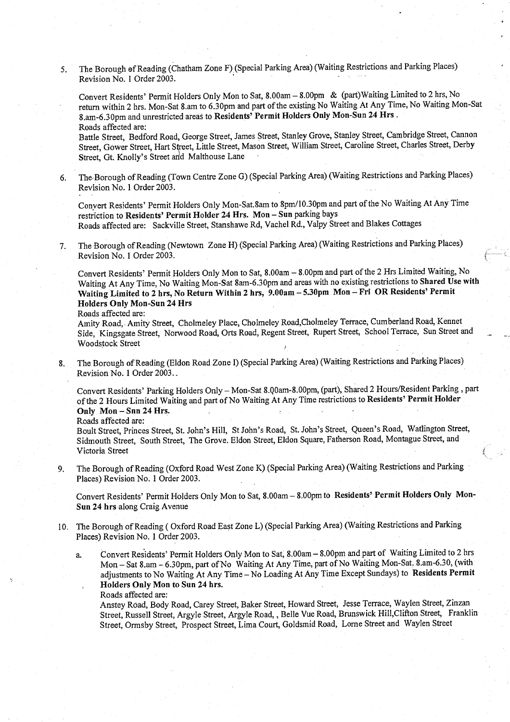<sup>5</sup> . The Borough of Reading (Chatham Zone F) (Special Parking Area) (Waiting Restrictions and Parking **Places)** Revision No. 1 Order 2003.

Convert Residents' Permit Holders Only Mon to **Sat, 8** .00am - **<sup>8</sup> .00pm &** (part)Waiting Limited to 2 hrs, No return within 2 hrs. Mon-Sat 8.am to 6.30pm and part of the existing No Waiting At Any Time, No Waiting Mon-Sat **8.am-6**.30pm and unrestricted **areas to Residents**' **Permit Holders Only Mon**-**Sun 24 Hrs .** Roads affected are:

Battle Street, Bedford Road, George Street, James Street, Stanley Grove, Stanley Street, Cambridge Street, Cannon Street, Gower Street, Hart Street, Little Street, Mason Street, William Street, Caroline Street, Charles Street, Derby Street, Gt. Knolly's Street and Malthouse Lane

6. The. Borough of Reading (Town Centre Zone G) (Special Parking Area) (Waiting Restrictions and Parking **Places)** Revision No. 1 Order 2003.

Convert Residents' Permit Holders Only Mon- **Sat.8am to** 8pm/10.30pm and part of the No Waiting At Any Time restriction **to Residents**' **Permit Holder 24 Hrs**. **Mon - Sun** parking bays Roads affected are: Sackville Street, Stanshawe Rd, Vachel Rd., Valpy Street and Blakes Cottages

<sup>7</sup> . The Borough of Reading (Newtown Zone H) (Special Parking Area) (Waiting Restrictions and Parking Places) Revision No. 1 Order 2003.

Convert Residents' Permit Holders Only Mon to Sat, **<sup>8</sup> .00am** - 8 .00pm and part of the 2 Hrs Limited Waiting, No Waiting At Any Time, No Waiting Mon-Sat 8am-6 .30pm and areas with no **existing restrictions to Shared Use with Waiting Limited to 2 hrs, No Return Within 2 hrs, 9 .00am** - **<sup>5</sup> .30pm** Mon - **Fri OR Residents' Permit Holders Only Mon** -**Sun 24 Hrs**

Roads affected are:

Amity Road, . Amity Street, Cholmeley Place, Cholmeley Road,Cholmeley Terrace, Cumberland Road, Kennet Side, Kingsgate Street, Norwood Road, Orts Road, Regent Street, Rupert Street, School Terrace, **Sun Street and** Woodstock Street

8. The Borough of Reading (Eldon Road Zone I) (Special Parking Area) (Waiting Restrictions and Parking Places) Revision No. 1 Order 2003.

Convert Residents' Parking Holders Only - Mon-Sat 8 .QOam**-8 .00pm** , (part), Shared 2 Hours/Resident Parking, part of the 2 Hours Limited Waiting and part of No Waiting At Any Time **restrictions to Residents**' **Permit Holder** Only **Mon - Sun 24 Hrs.**

Roads affected are:

Boult Street, Princes Street, St . John's Hill, St John's Road, St. John**'s Street**, Queen's Road, Watlington Street, Sidmouth Street, South Street, The Grove. Eldon Street, Eldon Square, Fatherson Road, Montague **Street, and** Victoria Street

<sup>9</sup> . The Borough of Reading (Oxford Road West Zone K) (Special Parking Area) (Waiting **Restrictions** and Parking Places) Revision No. 1 Order 2003.

Convert Residents' Permit Holders Only Mon to Sat, **<sup>8</sup> .00am** - 8.00pm to **Residents**' **Permit Holders Only Mon-Sun 24 hrs along** Craig Avenue

- 10. The Borough of Reading ( Oxford Road East Zone L) (Special Parking Area) (Waiting Restrictions and Parking Places) Revision No. 1 Order 2003.
	- a. Convert Residents' Permit Holders Only Mon to **Sat, 8.00am 8** .00pm and part of Waiting Limited to 2 hrs Mon - Sat 8 .am - 6.3Opm, part of No Waiting At Any Time, part of No Waiting Mon-Sat**. 8.am-6**.30, (with adjustments to No Waiting At Any Time - No Loading At Any Time Except Sundays) **to Residents Permit Holders Only Mon to Sun 24 hrs.**

Roads affected are :

Anstey Road, Body Road, Carey Street, Baker Street, Howard Street, Jesse Terrace, Waylen Street, Zinzan Street, Russell Street, Argyle Street, Argyle Road, , Belle Vue Road, Brunswick Hill,Clifton Street, Franklin Street, Ormsby Street, Prospect Street, Lima Court, Goldsmid Road, Lorne Street and Waylen Street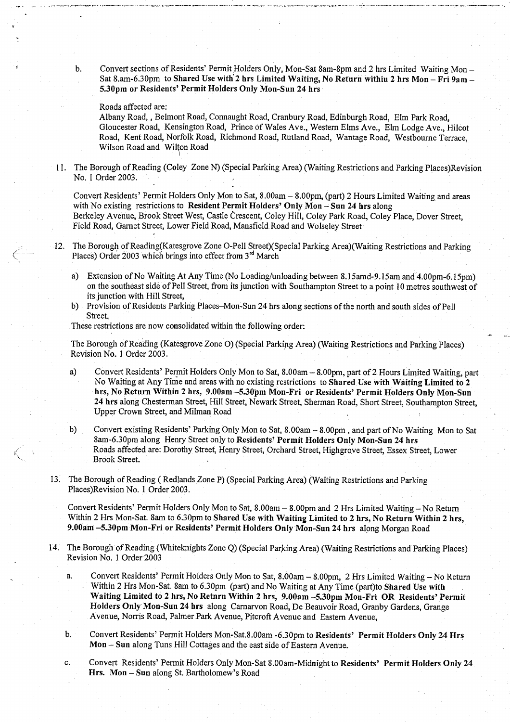b . Convert sections of Residents' Permit Holders Only, Mon- **Sat 8am-8pm** and 2 hrs Limited Waiting Mon - **Sat 8**.am-6.30pm **to Shared** Use witl**2 hrs Limited Waiting, No Return within 2 hrs Mon** - **Fri 9am - 5.30pm or Residents**' **Permit Holders** Only Mon **-Sun 24 hrs**

## Roads affected are:

Albany Road, , Belmont Road, Connaught Road, Cranbury Road, Edinburgh Road, Elm Park Road, Gloucester Road, Kensington Road, Prince of Wales Ave., Western Elms Ave., Elm Lodge Ave., Hilcot Road, Kent Road, Norfolk Road, Richmond Road, Rutland Road, Wantage Road, Westbourne Terrace, Wilson Road and Wilton Road

<sup>11</sup> . The Borough of Reading (Coley Zone N) (Special Parking Area) (Waiting Restrictions and Parking Places)Revision No. 1 Order 2003.

Convert Residents' Permit Holders Only Mon to Sat, 8.00am - 8.00pm, (part) 2 Hours Limited Waiting and areas with No existing restrictions **to Resident Permit Holders' Only Mon** - **Sun 24 hrs along** Berkeley Avenue, Brook Street West, Castle Crescent, Coley Hill, Coley Park Road, Coley Place, Dover Street, Field Road, Garnet Street, Lower Field Road, Mansfield Road and Wolseley Street

- 12. The Borough of Reading(Katesgrove Zone O-Pell Street)(Special Parking Area)(Waiting Restrictions and Parking Places) Order 2003 which brings into effect from  $3<sup>rd</sup>$  March
	- a) Extension of No Waiting At Any Time (No Loading/unloading between 8.15amd-9.15am and 4.00pm-6.15pm) on the southeast side of Pell Street, from its junction with Southampton Street to **a point 10 metres** southwest of **its junction** with Hill Street,
	- b) Provision of Residents Parking **Places**-Mon-Sun 24 **hrs along sections** of the north and south sides of Pell Street.

These **restrictions** are now consolidated within the following order:

The Borough of Reading (Katesgrove Zone 0) (Special Parkipg Area) (Waiting Restrictions and Parking **Places)** Revision No. I Order 2003.

- a) Convert Residents' Permit Holders Only Mon to **Sat, 8.00am <sup>8</sup> .00pm**, part of 2 Hours Limited Waiting, part No Waiting at Any Time and areas with no existing **restrictions to Shared Use with Waiting Limited to 2 hrs, No Return Within 2 hrs, 9.00am 5.30pm Mon-Fri or Residents**' **Permit Holders Only Mon-Sun 24 hrs along** Chesterman **Street**, Hill Street, Newark Street, Sherman Road, Short Street, Southampton Street, Upper Crown Street, and Milman Road
- b) Convert existing Residents' Parking Only Mon to Sat, 8 .00am 8.00pm , and part of No Waiting Mon to Sat **8am-6**.30pm along Henry Street only to **Residents**' **Permit Holders Only Mon** -**Sun 24 hrs** Roads affected are: Dorothy Street, Henry Street, Orchard Street, Highgrove Street, Essex Street, Lower Brook Street.
- <sup>13</sup> . The Borough of Reading ( Redlands Zone P) (Special Parking Area) (Waiting Restrictions and Parking Places)Revision No. 1 Order 2003.

Convert Residents' Permit Holders Only Mon to **Sat, 8** .00am **- 8.00pm and** 2 Hrs Limited Waiting - No Return Within 2 Hrs Mon-Sat. **8am to 6** .**30pm to Shared Use with Waiting Limited to 2 hrs, No Return Within 2 hrs, <sup>9</sup> .00am -5.30pm Mon-Fri or Residents**' **Permit Holders Only Mon**-**Sun 24 hrs along** Morgan Road

- 14 . The Borough of Reading (Whiteknights Zone Q) (Special Parking Area) (Waiting Restrictions and Parking Places) Revision No. 1 Order 2003
	- a. Convert Residents' Permit Holders Only Mon to **Sat, 8**. **00am** 8.00pm, 2 Hrs Limited Waiting No Return Within 2 Hrs Mon-Sat. **8am to 6** .30pm (part) and No Waiting at Any Time (**pa**rt**)to Shared Use with Waiting Limited to 2 hrs, No Return Within 2 hrs, 9 .00am** -**<sup>5</sup> .30pm Mon**-**Fri OR Residents**' **Permit Holders Only Mon**-**Sun 24 hrs along** Carnarvon Road, De Beauvoir Road, Granby Gardens, Grange Avenue, Norris Road, Palmer Park Avenue, Pitcroft Avenue and Eastern Avenue ,
	- b. Convert Residents' Permit Holders Mon-Sat. **<sup>8</sup> .00am -6** .30pm to **Residents' Permit Holders** Only 24 Hrs **Mon - Sun along** Tuns Hill Cottages **and the east** side of Eastern Avenue.
	- c . Convert Residents' Permit Holders Only Mon- **Sat 8**.00am-Midnight **to Residents' Permit Holders Only 24 Hrs. Mon** - **Sun along St**. Bartholomew's Road